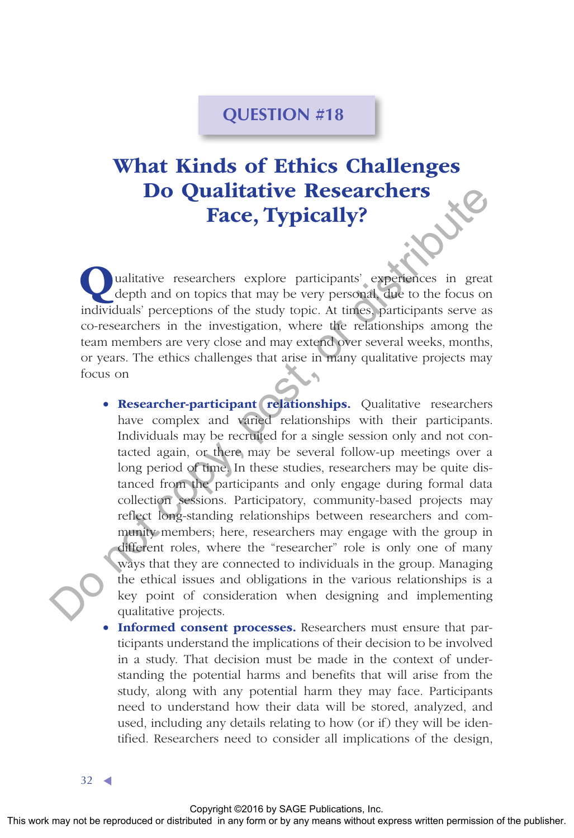## **QUESTION #18**

## What Kinds of Ethics Challenges Do Qualitative Researchers Face, Typically?

ualitative researchers explore participants' experiences in great depth and on topics that may be very personal, due to the focus on individuals' perceptions of the study topic. At times, participants serve as co-researchers in the investigation, where the relationships among the team members are very close and may extend over several weeks, months, or years. The ethics challenges that arise in many qualitative projects may focus on

- Researcher-participant relationships. Qualitative researchers have complex and varied relationships with their participants. Individuals may be recruited for a single session only and not contacted again, or there may be several follow-up meetings over a long period of time. In these studies, researchers may be quite distanced from the participants and only engage during formal data collection sessions. Participatory, community-based projects may reflect long-standing relationships between researchers and community members; here, researchers may engage with the group in different roles, where the "researcher" role is only one of many ways that they are connected to individuals in the group. Managing the ethical issues and obligations in the various relationships is a key point of consideration when designing and implementing qualitative projects. The Contribute Control or provided and control or the publisher and the publisher and the publisher and the publisher and the publisher and the publisher and the publisher and the publisher and the publisher and the publi
	- Informed consent processes. Researchers must ensure that participants understand the implications of their decision to be involved in a study. That decision must be made in the context of understanding the potential harms and benefits that will arise from the study, along with any potential harm they may face. Participants need to understand how their data will be stored, analyzed, and used, including any details relating to how (or if) they will be identified. Researchers need to consider all implications of the design,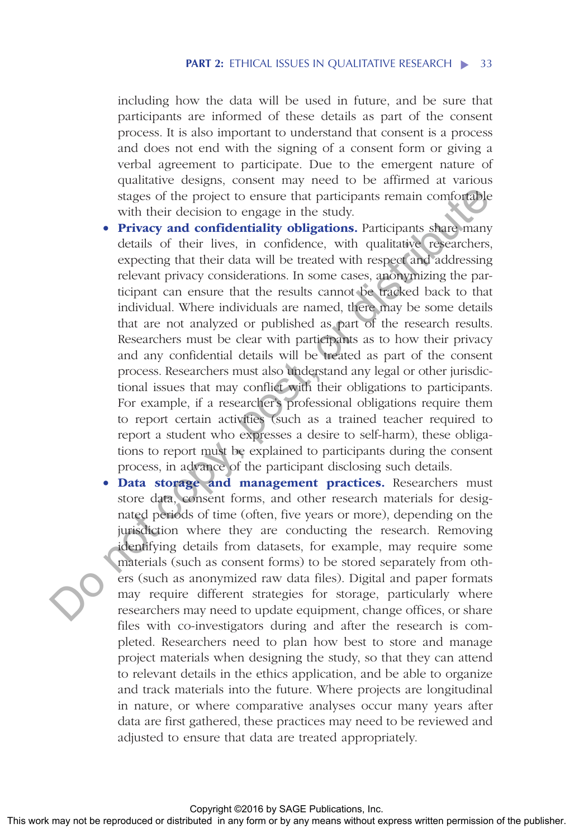including how the data will be used in future, and be sure that participants are informed of these details as part of the consent process. It is also important to understand that consent is a process and does not end with the signing of a consent form or giving a verbal agreement to participate. Due to the emergent nature of qualitative designs, consent may need to be affirmed at various stages of the project to ensure that participants remain comfortable with their decision to engage in the study.

- Privacy and confidentiality obligations. Participants share many details of their lives, in confidence, with qualitative researchers, expecting that their data will be treated with respect and addressing relevant privacy considerations. In some cases, anonymizing the participant can ensure that the results cannot be tracked back to that individual. Where individuals are named, there may be some details that are not analyzed or published as part of the research results. Researchers must be clear with participants as to how their privacy and any confidential details will be treated as part of the consent process. Researchers must also understand any legal or other jurisdictional issues that may conflict with their obligations to participants. For example, if a researcher's professional obligations require them to report certain activities (such as a trained teacher required to report a student who expresses a desire to self-harm), these obligations to report must be explained to participants during the consent process, in advance of the participant disclosing such details.
- Data storage and management practices. Researchers must store data, consent forms, and other research materials for designated periods of time (often, five years or more), depending on the jurisdiction where they are conducting the research. Removing identifying details from datasets, for example, may require some materials (such as consent forms) to be stored separately from others (such as anonymized raw data files). Digital and paper formats may require different strategies for storage, particularly where researchers may need to update equipment, change offices, or share files with co-investigators during and after the research is completed. Researchers need to plan how best to store and manage project materials when designing the study, so that they can attend to relevant details in the ethics application, and be able to organize and track materials into the future. Where projects are longitudinal in nature, or where comparative analyses occur many years after data are first gathered, these practices may need to be reviewed and adjusted to ensure that data are treated appropriately. sing of the project to ensure that participants remain conformals<br>**Privary and confidentative obligations**. Praticipants May form or distributions of the low is reacted with reproduced in any form or distributed in any di